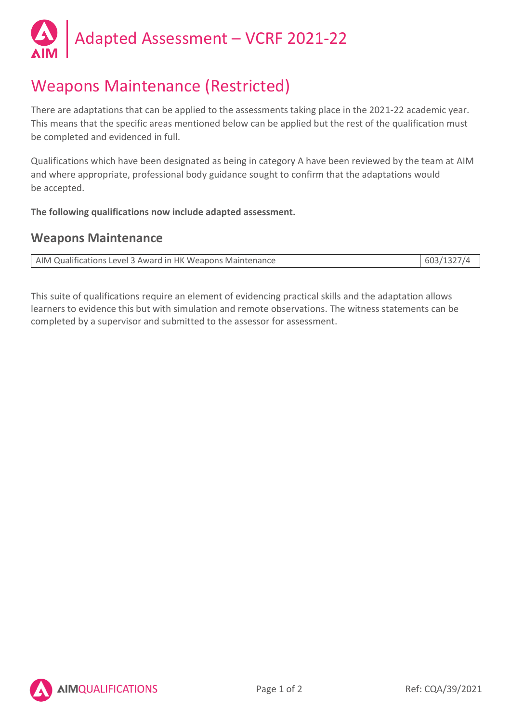

# Weapons Maintenance (Restricted)

There are adaptations that can be applied to the assessments taking place in the 2021-22 academic year. This means that the specific areas mentioned below can be applied but the rest of the qualification must be completed and evidenced in full.

Qualifications which have been designated as being in category A have been reviewed by the team at AIM and where appropriate, professional body guidance sought to confirm that the adaptations would be accepted.

**The following qualifications now include adapted assessment.**

### **Weapons Maintenance**

| AIM Qualifications Level 3 Award in HK Weapons Maintenance | 603/1327/4 |
|------------------------------------------------------------|------------|

This suite of qualifications require an element of evidencing practical skills and the adaptation allows learners to evidence this but with simulation and remote observations. The witness statements can be completed by a supervisor and submitted to the assessor for assessment.